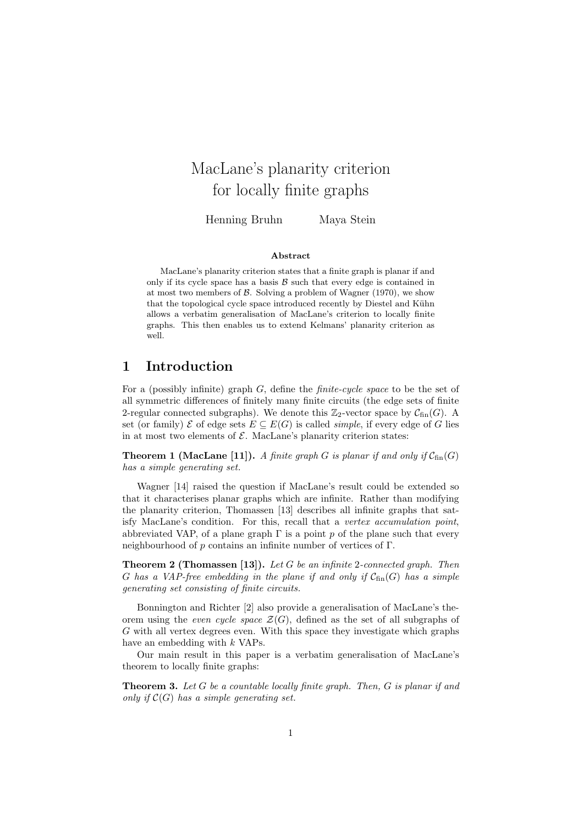# MacLane's planarity criterion for locally finite graphs

Henning Bruhn Maya Stein

#### Abstract

MacLane's planarity criterion states that a finite graph is planar if and only if its cycle space has a basis  $B$  such that every edge is contained in at most two members of  $\beta$ . Solving a problem of Wagner (1970), we show that the topological cycle space introduced recently by Diestel and Kühn allows a verbatim generalisation of MacLane's criterion to locally finite graphs. This then enables us to extend Kelmans' planarity criterion as well.

# 1 Introduction

For a (possibly infinite) graph G, define the finite-cycle space to be the set of all symmetric differences of finitely many finite circuits (the edge sets of finite 2-regular connected subgraphs). We denote this  $\mathbb{Z}_2$ -vector space by  $C_{fin}(G)$ . A set (or family)  $\mathcal E$  of edge sets  $E \subseteq E(G)$  is called *simple*, if every edge of G lies in at most two elements of  $\mathcal E$ . MacLane's planarity criterion states:

**Theorem 1 (MacLane [11]).** A finite graph G is planar if and only if  $C_{fin}(G)$ has a simple generating set.

Wagner [14] raised the question if MacLane's result could be extended so that it characterises planar graphs which are infinite. Rather than modifying the planarity criterion, Thomassen [13] describes all infinite graphs that satisfy MacLane's condition. For this, recall that a vertex accumulation point, abbreviated VAP, of a plane graph  $\Gamma$  is a point p of the plane such that every neighbourhood of p contains an infinite number of vertices of Γ.

**Theorem 2 (Thomassen [13]).** Let G be an infinite 2-connected graph. Then G has a VAP-free embedding in the plane if and only if  $C_{fin}(G)$  has a simple generating set consisting of finite circuits.

Bonnington and Richter [2] also provide a generalisation of MacLane's theorem using the even cycle space  $\mathcal{Z}(G)$ , defined as the set of all subgraphs of G with all vertex degrees even. With this space they investigate which graphs have an embedding with  $k$  VAPs.

Our main result in this paper is a verbatim generalisation of MacLane's theorem to locally finite graphs:

**Theorem 3.** Let  $G$  be a countable locally finite graph. Then,  $G$  is planar if and only if  $\mathcal{C}(G)$  has a simple generating set.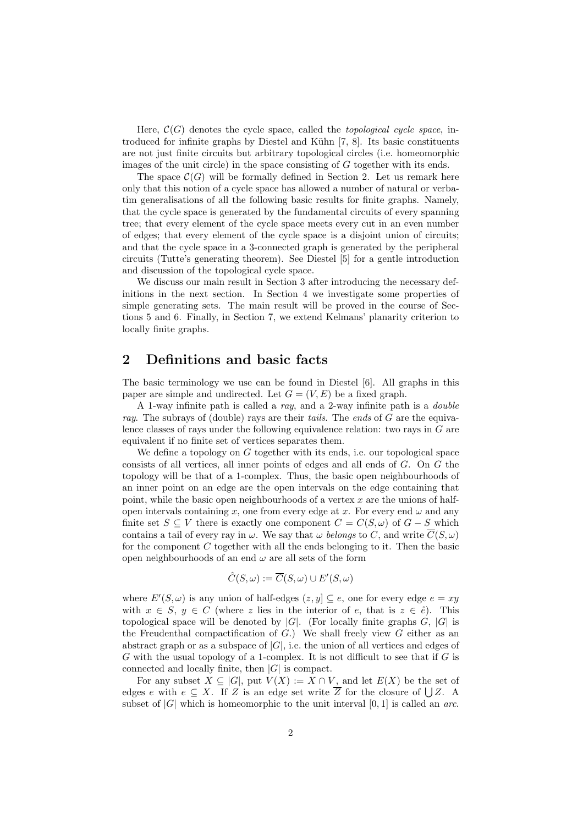Here,  $\mathcal{C}(G)$  denotes the cycle space, called the *topological cycle space*, introduced for infinite graphs by Diestel and Kühn [7, 8]. Its basic constituents are not just finite circuits but arbitrary topological circles (i.e. homeomorphic images of the unit circle) in the space consisting of  $G$  together with its ends.

The space  $\mathcal{C}(G)$  will be formally defined in Section 2. Let us remark here only that this notion of a cycle space has allowed a number of natural or verbatim generalisations of all the following basic results for finite graphs. Namely, that the cycle space is generated by the fundamental circuits of every spanning tree; that every element of the cycle space meets every cut in an even number of edges; that every element of the cycle space is a disjoint union of circuits; and that the cycle space in a 3-connected graph is generated by the peripheral circuits (Tutte's generating theorem). See Diestel [5] for a gentle introduction and discussion of the topological cycle space.

We discuss our main result in Section 3 after introducing the necessary definitions in the next section. In Section 4 we investigate some properties of simple generating sets. The main result will be proved in the course of Sections 5 and 6. Finally, in Section 7, we extend Kelmans' planarity criterion to locally finite graphs.

# 2 Definitions and basic facts

The basic terminology we use can be found in Diestel [6]. All graphs in this paper are simple and undirected. Let  $G = (V, E)$  be a fixed graph.

A 1-way infinite path is called a ray, and a 2-way infinite path is a double ray. The subrays of (double) rays are their tails. The ends of  $G$  are the equivalence classes of rays under the following equivalence relation: two rays in  $G$  are equivalent if no finite set of vertices separates them.

We define a topology on  $G$  together with its ends, i.e. our topological space consists of all vertices, all inner points of edges and all ends of G. On G the topology will be that of a 1-complex. Thus, the basic open neighbourhoods of an inner point on an edge are the open intervals on the edge containing that point, while the basic open neighbourhoods of a vertex  $x$  are the unions of halfopen intervals containing x, one from every edge at x. For every end  $\omega$  and any finite set  $S \subseteq V$  there is exactly one component  $C = C(S, \omega)$  of  $G - S$  which contains a tail of every ray in  $\omega$ . We say that  $\omega$  belongs to C, and write  $\overline{C}(S,\omega)$ for the component C together with all the ends belonging to it. Then the basic open neighbourhoods of an end  $\omega$  are all sets of the form

$$
\hat{C}(S,\omega) := \overline{C}(S,\omega) \cup E'(S,\omega)
$$

where  $E'(S,\omega)$  is any union of half-edges  $(z, y] \subseteq e$ , one for every edge  $e = xy$ with  $x \in S$ ,  $y \in C$  (where z lies in the interior of e, that is  $z \in \mathring{e}$ ). This topological space will be denoted by  $|G|$ . (For locally finite graphs  $G$ ,  $|G|$  is the Freudenthal compactification of  $G$ .) We shall freely view  $G$  either as an abstract graph or as a subspace of  $|G|$ , i.e. the union of all vertices and edges of G with the usual topology of a 1-complex. It is not difficult to see that if  $G$  is connected and locally finite, then  $|G|$  is compact.

For any subset  $X \subseteq |G|$ , put  $V(X) := X \cap V$ , and let  $E(X)$  be the set of edges e with  $e \subseteq X$ . If Z is an edge set write Z for the closure of  $\bigcup Z$ . A subset of  $|G|$  which is homeomorphic to the unit interval  $[0, 1]$  is called an *arc*.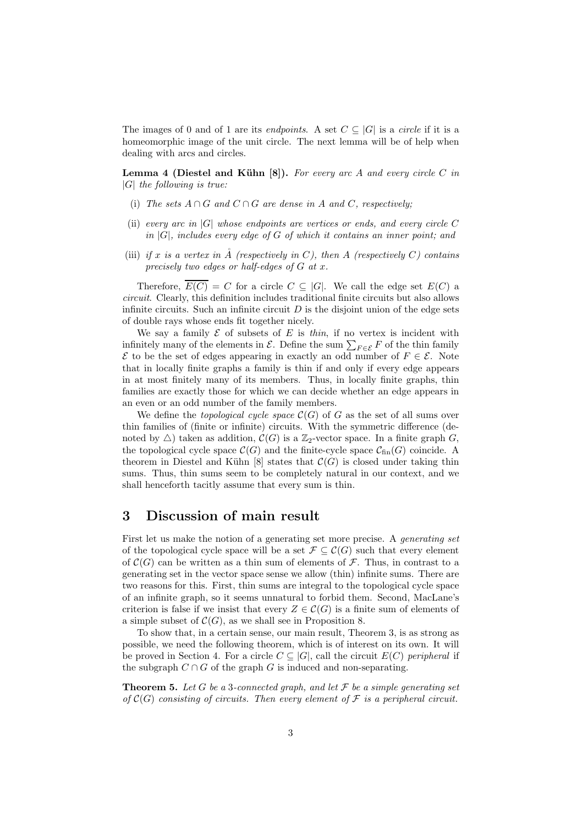The images of 0 and of 1 are its *endpoints*. A set  $C \subseteq |G|$  is a *circle* if it is a homeomorphic image of the unit circle. The next lemma will be of help when dealing with arcs and circles.

**Lemma 4 (Diestel and Kühn [8]).** For every arc A and every circle C in  $|G|$  the following is true:

- (i) The sets  $A \cap G$  and  $C \cap G$  are dense in A and C, respectively:
- (ii) every arc in  $|G|$  whose endpoints are vertices or ends, and every circle C in  $|G|$ , includes every edge of G of which it contains an inner point; and
- (iii) if x is a vertex in  $\AA$  (respectively in C), then A (respectively C) contains precisely two edges or half-edges of G at x.

Therefore,  $\overline{E(C)} = C$  for a circle  $C \subseteq |G|$ . We call the edge set  $E(C)$  a circuit. Clearly, this definition includes traditional finite circuits but also allows infinite circuits. Such an infinite circuit  $D$  is the disjoint union of the edge sets of double rays whose ends fit together nicely.

We say a family  $\mathcal E$  of subsets of E is thin, if no vertex is incident with infinitely many of the elements in  $\mathcal{E}$ . Define the sum  $\sum_{F \in \mathcal{E}} F$  of the thin family  $\mathcal E$  to be the set of edges appearing in exactly an odd number of  $F \in \mathcal E$ . Note that in locally finite graphs a family is thin if and only if every edge appears in at most finitely many of its members. Thus, in locally finite graphs, thin families are exactly those for which we can decide whether an edge appears in an even or an odd number of the family members.

We define the *topological cycle space*  $\mathcal{C}(G)$  of G as the set of all sums over thin families of (finite or infinite) circuits. With the symmetric difference (denoted by  $\triangle$ ) taken as addition,  $\mathcal{C}(G)$  is a  $\mathbb{Z}_2$ -vector space. In a finite graph G, the topological cycle space  $\mathcal{C}(G)$  and the finite-cycle space  $\mathcal{C}_{fin}(G)$  coincide. A theorem in Diestel and Kühn [8] states that  $\mathcal{C}(G)$  is closed under taking thin sums. Thus, thin sums seem to be completely natural in our context, and we shall henceforth tacitly assume that every sum is thin.

#### 3 Discussion of main result

First let us make the notion of a generating set more precise. A generating set of the topological cycle space will be a set  $\mathcal{F} \subseteq \mathcal{C}(G)$  such that every element of  $\mathcal{C}(G)$  can be written as a thin sum of elements of  $\mathcal{F}$ . Thus, in contrast to a generating set in the vector space sense we allow (thin) infinite sums. There are two reasons for this. First, thin sums are integral to the topological cycle space of an infinite graph, so it seems unnatural to forbid them. Second, MacLane's criterion is false if we insist that every  $Z \in \mathcal{C}(G)$  is a finite sum of elements of a simple subset of  $\mathcal{C}(G)$ , as we shall see in Proposition 8.

To show that, in a certain sense, our main result, Theorem 3, is as strong as possible, we need the following theorem, which is of interest on its own. It will be proved in Section 4. For a circle  $C \subseteq |G|$ , call the circuit  $E(C)$  peripheral if the subgraph  $C \cap G$  of the graph G is induced and non-separating.

**Theorem 5.** Let G be a 3-connected graph, and let  $\mathcal F$  be a simple generating set of  $\mathcal{C}(G)$  consisting of circuits. Then every element of  $\mathcal F$  is a peripheral circuit.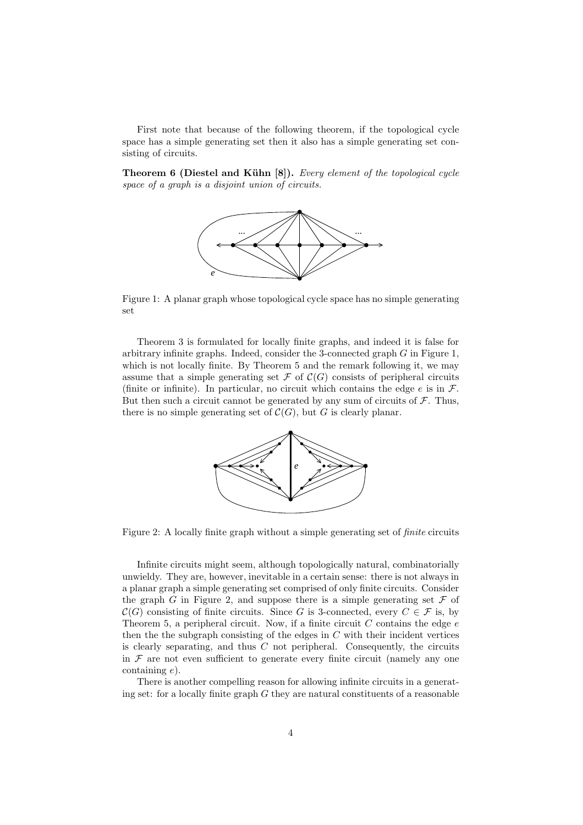First note that because of the following theorem, if the topological cycle space has a simple generating set then it also has a simple generating set consisting of circuits.

**Theorem 6 (Diestel and Kühn [8]).** Every element of the topological cycle space of a graph is a disjoint union of circuits.



Figure 1: A planar graph whose topological cycle space has no simple generating set

Theorem 3 is formulated for locally finite graphs, and indeed it is false for arbitrary infinite graphs. Indeed, consider the 3-connected graph  $G$  in Figure 1, which is not locally finite. By Theorem 5 and the remark following it, we may assume that a simple generating set  $\mathcal F$  of  $\mathcal C(G)$  consists of peripheral circuits (finite or infinite). In particular, no circuit which contains the edge  $e$  is in  $\mathcal{F}$ . But then such a circuit cannot be generated by any sum of circuits of  $\mathcal{F}$ . Thus, there is no simple generating set of  $C(G)$ , but G is clearly planar.



Figure 2: A locally finite graph without a simple generating set of finite circuits

Infinite circuits might seem, although topologically natural, combinatorially unwieldy. They are, however, inevitable in a certain sense: there is not always in a planar graph a simple generating set comprised of only finite circuits. Consider the graph G in Figure 2, and suppose there is a simple generating set  $\mathcal F$  of  $\mathcal{C}(G)$  consisting of finite circuits. Since G is 3-connected, every  $C \in \mathcal{F}$  is, by Theorem 5, a peripheral circuit. Now, if a finite circuit  $C$  contains the edge  $e$ then the the subgraph consisting of the edges in  $C$  with their incident vertices is clearly separating, and thus  $C$  not peripheral. Consequently, the circuits in  $\mathcal F$  are not even sufficient to generate every finite circuit (namely any one containing e).

There is another compelling reason for allowing infinite circuits in a generating set: for a locally finite graph  $G$  they are natural constituents of a reasonable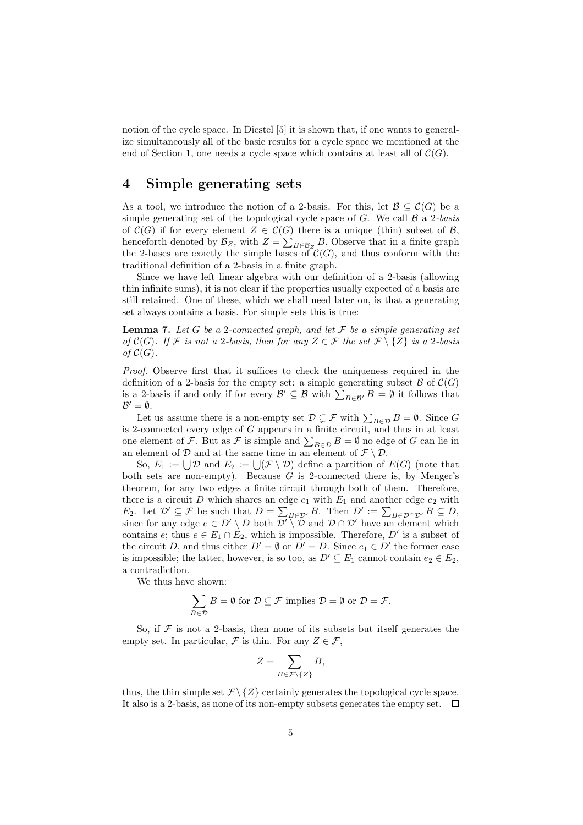notion of the cycle space. In Diestel [5] it is shown that, if one wants to generalize simultaneously all of the basic results for a cycle space we mentioned at the end of Section 1, one needs a cycle space which contains at least all of  $\mathcal{C}(G)$ .

### 4 Simple generating sets

As a tool, we introduce the notion of a 2-basis. For this, let  $\mathcal{B} \subseteq \mathcal{C}(G)$  be a simple generating set of the topological cycle space of  $G$ . We call  $\beta$  a 2-basis of  $\mathcal{C}(G)$  if for every element  $Z \in \mathcal{C}(G)$  there is a unique (thin) subset of  $\mathcal{B}$ , henceforth denoted by  $\mathcal{B}_Z$ , with  $Z = \sum_{B \in \mathcal{B}_Z} B$ . Observe that in a finite graph the 2-bases are exactly the simple bases of  $\mathcal{C}(G)$ , and thus conform with the traditional definition of a 2-basis in a finite graph.

Since we have left linear algebra with our definition of a 2-basis (allowing thin infinite sums), it is not clear if the properties usually expected of a basis are still retained. One of these, which we shall need later on, is that a generating set always contains a basis. For simple sets this is true:

**Lemma 7.** Let G be a 2-connected graph, and let  $\mathcal F$  be a simple generating set of  $\mathcal{C}(G)$ . If F is not a 2-basis, then for any  $Z \in \mathcal{F}$  the set  $\mathcal{F} \setminus \{Z\}$  is a 2-basis of  $\mathcal{C}(G)$ .

Proof. Observe first that it suffices to check the uniqueness required in the definition of a 2-basis for the empty set: a simple generating subset  $\mathcal B$  of  $\mathcal C(G)$ is a 2-basis if and only if for every  $\mathcal{B}' \subseteq \mathcal{B}$  with  $\sum_{B \in \mathcal{B}'} B = \emptyset$  it follows that  $\mathcal{B}'=\emptyset.$ 

Let us assume there is a non-empty set  $\mathcal{D} \subsetneq \mathcal{F}$  with  $\sum_{B \in \mathcal{D}} B = \emptyset$ . Since G is 2-connected every edge of  $G$  appears in a finite circuit, and thus in at least one element of F. But as F is simple and  $\sum_{B \in \mathcal{D}} B = \emptyset$  no edge of G can lie in an element of  $D$  and at the same time in an element of  $\mathcal{F} \setminus \mathcal{D}$ .

So,  $E_1 := \bigcup \mathcal{D}$  and  $E_2 := \bigcup (\mathcal{F} \setminus \mathcal{D})$  define a partition of  $E(G)$  (note that both sets are non-empty). Because  $G$  is 2-connected there is, by Menger's theorem, for any two edges a finite circuit through both of them. Therefore, there is a circuit D which shares an edge  $e_1$  with  $E_1$  and another edge  $e_2$  with E<sub>2</sub>. Let  $\mathcal{D}' \subseteq \mathcal{F}$  be such that  $D = \sum_{B \in \mathcal{D}'} B$ . Then  $D' := \sum_{B \in \mathcal{D} \cap \mathcal{D}'} B \subseteq D$ , since for any edge  $e \in D' \setminus D$  both  $\mathcal{D}' \setminus \mathcal{D}$  and  $\mathcal{D} \cap \mathcal{D}'$  have an element which contains e; thus  $e \in E_1 \cap E_2$ , which is impossible. Therefore, D' is a subset of the circuit D, and thus either  $D' = \emptyset$  or  $D' = D$ . Since  $e_1 \in D'$  the former case is impossible; the latter, however, is so too, as  $D' \subseteq E_1$  cannot contain  $e_2 \in E_2$ , a contradiction.

We thus have shown:

$$
\sum_{B \in \mathcal{D}} B = \emptyset \text{ for } \mathcal{D} \subseteq \mathcal{F} \text{ implies } \mathcal{D} = \emptyset \text{ or } \mathcal{D} = \mathcal{F}.
$$

So, if  $\mathcal F$  is not a 2-basis, then none of its subsets but itself generates the empty set. In particular,  $\mathcal F$  is thin. For any  $Z \in \mathcal F$ ,

$$
Z = \sum_{B \in \mathcal{F} \setminus \{Z\}} B,
$$

thus, the thin simple set  $\mathcal{F} \setminus \{Z\}$  certainly generates the topological cycle space. It also is a 2-basis, as none of its non-empty subsets generates the empty set.  $\Box$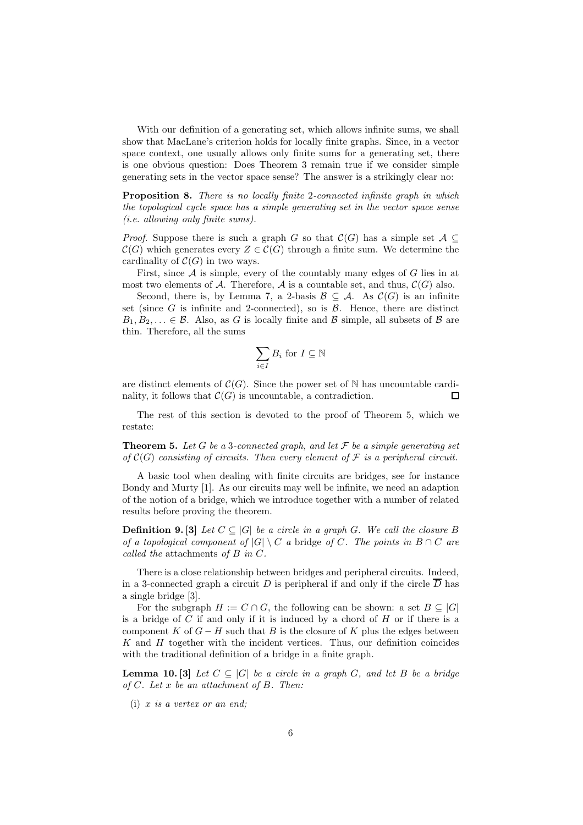With our definition of a generating set, which allows infinite sums, we shall show that MacLane's criterion holds for locally finite graphs. Since, in a vector space context, one usually allows only finite sums for a generating set, there is one obvious question: Does Theorem 3 remain true if we consider simple generating sets in the vector space sense? The answer is a strikingly clear no:

**Proposition 8.** There is no locally finite 2-connected infinite graph in which the topological cycle space has a simple generating set in the vector space sense (i.e. allowing only finite sums).

*Proof.* Suppose there is such a graph G so that  $\mathcal{C}(G)$  has a simple set  $\mathcal{A} \subseteq$  $\mathcal{C}(G)$  which generates every  $Z \in \mathcal{C}(G)$  through a finite sum. We determine the cardinality of  $C(G)$  in two ways.

First, since  $A$  is simple, every of the countably many edges of  $G$  lies in at most two elements of A. Therefore, A is a countable set, and thus,  $\mathcal{C}(G)$  also.

Second, there is, by Lemma 7, a 2-basis  $\mathcal{B} \subseteq \mathcal{A}$ . As  $\mathcal{C}(G)$  is an infinite set (since  $G$  is infinite and 2-connected), so is  $\beta$ . Hence, there are distinct  $B_1, B_2, \ldots \in \mathcal{B}$ . Also, as G is locally finite and B simple, all subsets of B are thin. Therefore, all the sums

$$
\sum_{i\in I}B_i\text{ for }I\subseteq\mathbb{N}
$$

are distinct elements of  $\mathcal{C}(G)$ . Since the power set of N has uncountable cardinality, it follows that  $\mathcal{C}(G)$  is uncountable, a contradiction. П

The rest of this section is devoted to the proof of Theorem 5, which we restate:

**Theorem 5.** Let G be a 3-connected graph, and let  $\mathcal F$  be a simple generating set of  $\mathcal{C}(G)$  consisting of circuits. Then every element of  $\mathcal F$  is a peripheral circuit.

A basic tool when dealing with finite circuits are bridges, see for instance Bondy and Murty [1]. As our circuits may well be infinite, we need an adaption of the notion of a bridge, which we introduce together with a number of related results before proving the theorem.

**Definition 9.** [3] Let  $C \subseteq |G|$  be a circle in a graph G. We call the closure B of a topological component of  $|G| \setminus C$  a bridge of C. The points in  $B \cap C$  are called the attachments of B in C.

There is a close relationship between bridges and peripheral circuits. Indeed, in a 3-connected graph a circuit D is peripheral if and only if the circle  $\overline{D}$  has a single bridge [3].

For the subgraph  $H := C \cap G$ , the following can be shown: a set  $B \subseteq |G|$ is a bridge of C if and only if it is induced by a chord of  $H$  or if there is a component K of  $G - H$  such that B is the closure of K plus the edges between  $K$  and  $H$  together with the incident vertices. Thus, our definition coincides with the traditional definition of a bridge in a finite graph.

**Lemma 10.** [3] Let  $C \subseteq |G|$  be a circle in a graph G, and let B be a bridge of C. Let x be an attachment of B. Then:

 $(i)$  x is a vertex or an end: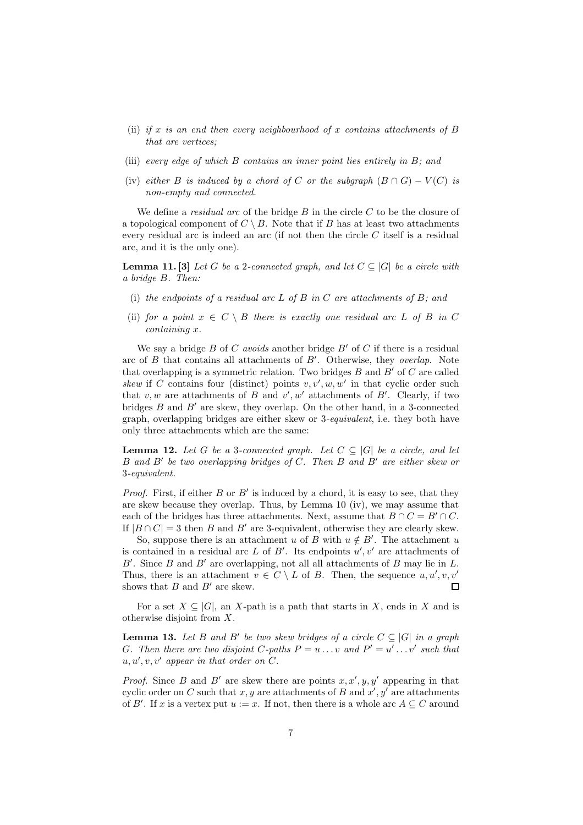- (ii) if x is an end then every neighbourhood of x contains attachments of  $B$ that are vertices;
- (iii) every edge of which B contains an inner point lies entirely in B; and
- (iv) either B is induced by a chord of C or the subgraph  $(B \cap G) V(C)$  is non-empty and connected.

We define a *residual arc* of the bridge  $B$  in the circle  $C$  to be the closure of a topological component of  $C \setminus B$ . Note that if B has at least two attachments every residual arc is indeed an arc (if not then the circle  $C$  itself is a residual arc, and it is the only one).

**Lemma 11.** [3] Let G be a 2-connected graph, and let  $C \subseteq |G|$  be a circle with a bridge B. Then:

- (i) the endpoints of a residual arc  $L$  of  $B$  in  $C$  are attachments of  $B$ ; and
- (ii) for a point  $x \in C \setminus B$  there is exactly one residual arc L of B in C containing x.

We say a bridge  $B$  of  $C$  avoids another bridge  $B'$  of  $C$  if there is a residual arc of  $B$  that contains all attachments of  $B'$ . Otherwise, they overlap. Note that overlapping is a symmetric relation. Two bridges  $B$  and  $B'$  of  $C$  are called skew if C contains four (distinct) points  $v, v', w, w'$  in that cyclic order such that  $v, w$  are attachments of B and  $v', w'$  attachments of B'. Clearly, if two bridges  $B$  and  $B'$  are skew, they overlap. On the other hand, in a 3-connected graph, overlapping bridges are either skew or 3-equivalent, i.e. they both have only three attachments which are the same:

**Lemma 12.** Let G be a 3-connected graph. Let  $C \subseteq |G|$  be a circle, and let B and B′ be two overlapping bridges of C. Then B and B′ are either skew or 3-equivalent.

*Proof.* First, if either  $B$  or  $B'$  is induced by a chord, it is easy to see, that they are skew because they overlap. Thus, by Lemma 10 (iv), we may assume that each of the bridges has three attachments. Next, assume that  $B \cap C = B' \cap C$ . If  $|B \cap C| = 3$  then B and B' are 3-equivalent, otherwise they are clearly skew.

So, suppose there is an attachment u of B with  $u \notin B'$ . The attachment u is contained in a residual arc  $L$  of  $B'$ . Its endpoints  $u', v'$  are attachments of  $B'$ . Since  $B$  and  $B'$  are overlapping, not all all attachments of  $B$  may lie in  $L$ . Thus, there is an attachment  $v \in C \setminus L$  of B. Then, the sequence  $u, u', v, v'$ shows that  $B$  and  $B'$  are skew.  $\Box$ 

For a set  $X \subseteq |G|$ , an X-path is a path that starts in X, ends in X and is otherwise disjoint from X.

**Lemma 13.** Let B and B' be two skew bridges of a circle  $C \subseteq |G|$  in a graph G. Then there are two disjoint C-paths  $P = u \dots v$  and  $P' = u' \dots v'$  such that  $u, u', v, v'$  appear in that order on  $C$ .

*Proof.* Since B and B' are skew there are points  $x, x', y, y'$  appearing in that cyclic order on C such that  $x, y$  are attachments of B and  $x', y'$  are attachments of B'. If x is a vertex put  $u := x$ . If not, then there is a whole arc  $A \subseteq C$  around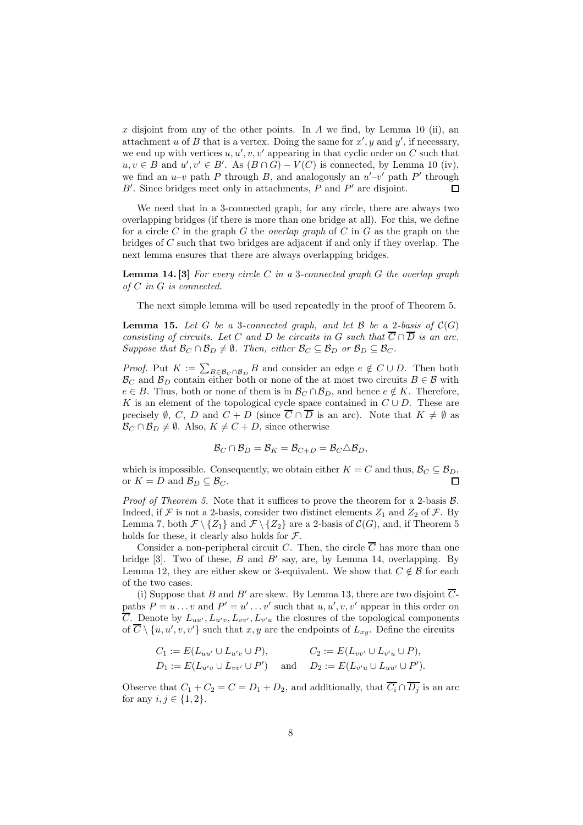$x$  disjoint from any of the other points. In  $A$  we find, by Lemma 10 (ii), an attachment u of B that is a vertex. Doing the same for  $x'$ , y and  $y'$ , if necessary, we end up with vertices  $u, u', v, v'$  appearing in that cyclic order on C such that  $u, v \in B$  and  $u', v' \in B'$ . As  $(B \cap G) - V(C)$  is connected, by Lemma 10 (iv), we find an  $u-v$  path P through B, and analogously an  $u'-v'$  path P' through  $B'$ . Since bridges meet only in attachments,  $P$  and  $P'$  are disjoint. П

We need that in a 3-connected graph, for any circle, there are always two overlapping bridges (if there is more than one bridge at all). For this, we define for a circle C in the graph G the *overlap graph* of C in G as the graph on the bridges of C such that two bridges are adjacent if and only if they overlap. The next lemma ensures that there are always overlapping bridges.

**Lemma 14. [3]** For every circle C in a 3-connected graph G the overlap graph of C in G is connected.

The next simple lemma will be used repeatedly in the proof of Theorem 5.

**Lemma 15.** Let G be a 3-connected graph, and let B be a 2-basis of  $C(G)$ consisting of circuits. Let C and D be circuits in G such that  $\overline{C} \cap \overline{D}$  is an arc. Suppose that  $\mathcal{B}_C \cap \mathcal{B}_D \neq \emptyset$ . Then, either  $\mathcal{B}_C \subseteq \mathcal{B}_D$  or  $\mathcal{B}_D \subseteq \mathcal{B}_C$ .

*Proof.* Put  $K := \sum_{B \in \mathcal{B}_C \cap \mathcal{B}_D} B$  and consider an edge  $e \notin C \cup D$ . Then both  $\mathcal{B}_C$  and  $\mathcal{B}_D$  contain either both or none of the at most two circuits  $B \in \mathcal{B}$  with  $e \in B$ . Thus, both or none of them is in  $\mathcal{B}_{C} \cap \mathcal{B}_{D}$ , and hence  $e \notin K$ . Therefore, K is an element of the topological cycle space contained in  $C \cup D$ . These are precisely  $\emptyset$ , C, D and  $C + D$  (since  $\overline{C} \cap \overline{D}$  is an arc). Note that  $K \neq \emptyset$  as  $\mathcal{B}_C \cap \mathcal{B}_D \neq \emptyset$ . Also,  $K \neq C + D$ , since otherwise

$$
\mathcal{B}_C \cap \mathcal{B}_D = \mathcal{B}_K = \mathcal{B}_{C+D} = \mathcal{B}_C \triangle \mathcal{B}_D,
$$

which is impossible. Consequently, we obtain either  $K = C$  and thus,  $\mathcal{B}_C \subseteq \mathcal{B}_D$ , or  $K = D$  and  $\mathcal{B}_D \subseteq \mathcal{B}_C$ .

*Proof of Theorem 5.* Note that it suffices to prove the theorem for a 2-basis  $B$ . Indeed, if F is not a 2-basis, consider two distinct elements  $Z_1$  and  $Z_2$  of F. By Lemma 7, both  $\mathcal{F} \setminus \{Z_1\}$  and  $\mathcal{F} \setminus \{Z_2\}$  are a 2-basis of  $\mathcal{C}(G)$ , and, if Theorem 5 holds for these, it clearly also holds for  $\mathcal{F}$ .

Consider a non-peripheral circuit C. Then, the circle  $\overline{C}$  has more than one bridge  $[3]$ . Two of these, B and B' say, are, by Lemma 14, overlapping. By Lemma 12, they are either skew or 3-equivalent. We show that  $C \notin \mathcal{B}$  for each of the two cases.

(i) Suppose that B and B' are skew. By Lemma 13, there are two disjoint  $\overline{C}$ paths  $P = u \dots v$  and  $P' = u' \dots v'$  such that  $u, u', v, v'$  appear in this order on  $\overline{C}$ . Denote by  $L_{uu'}, L_{u'v}, L_{vv'}, L_{v'u}$  the closures of the topological components of  $\overline{C} \setminus \{u, u', v, v'\}$  such that  $x, y$  are the endpoints of  $L_{xy}$ . Define the circuits

$$
C_1 := E(L_{uu'} \cup L_{u'v} \cup P), \qquad C_2 := E(L_{vv'} \cup L_{v'u} \cup P),
$$
  
\n
$$
D_1 := E(L_{u'v} \cup L_{vv'} \cup P') \quad \text{and} \quad D_2 := E(L_{v'u} \cup L_{uu'} \cup P').
$$

Observe that  $C_1 + C_2 = C = D_1 + D_2$ , and additionally, that  $\overline{C_i} \cap \overline{D_i}$  is an arc for any  $i, j \in \{1, 2\}.$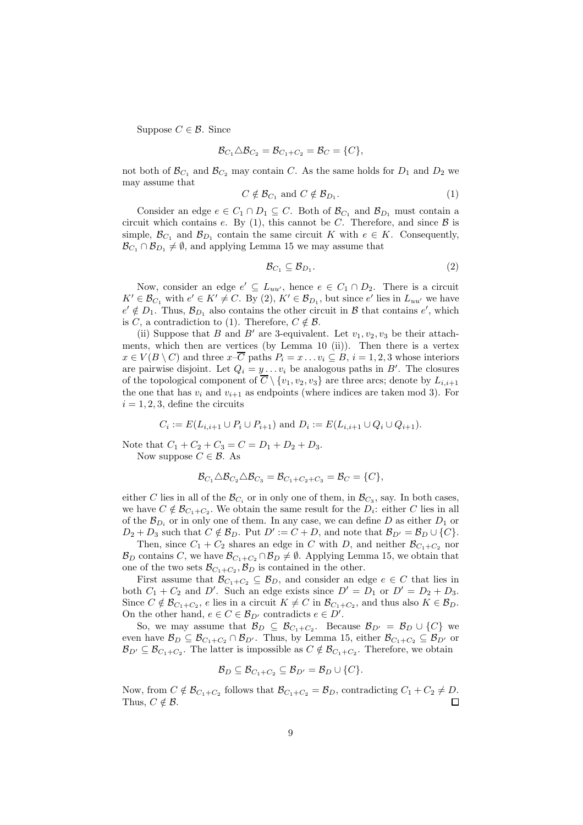Suppose  $C \in \mathcal{B}$ . Since

$$
\mathcal{B}_{C_1} \triangle \mathcal{B}_{C_2} = \mathcal{B}_{C_1+C_2} = \mathcal{B}_C = \{C\},\
$$

not both of  $\mathcal{B}_{C_1}$  and  $\mathcal{B}_{C_2}$  may contain C. As the same holds for  $D_1$  and  $D_2$  we may assume that

$$
C \notin \mathcal{B}_{C_1} \text{ and } C \notin \mathcal{B}_{D_1}.\tag{1}
$$

Consider an edge  $e \in C_1 \cap D_1 \subseteq C$ . Both of  $\mathcal{B}_{C_1}$  and  $\mathcal{B}_{D_1}$  must contain a circuit which contains e. By (1), this cannot be C. Therefore, and since  $\beta$  is simple,  $\mathcal{B}_{C_1}$  and  $\mathcal{B}_{D_1}$  contain the same circuit K with  $e \in K$ . Consequently,  $\mathcal{B}_{C_1} \cap \mathcal{B}_{D_1} \neq \emptyset$ , and applying Lemma 15 we may assume that

$$
\mathcal{B}_{C_1} \subseteq \mathcal{B}_{D_1}.\tag{2}
$$

Now, consider an edge  $e' \subseteq L_{uu'}$ , hence  $e \in C_1 \cap D_2$ . There is a circuit  $K' \in \mathcal{B}_{C_1}$  with  $e' \in K' \neq C$ . By (2),  $K' \in \mathcal{B}_{D_1}$ , but since  $e'$  lies in  $L_{uu'}$  we have  $e' \notin D_1$ . Thus,  $\mathcal{B}_{D_1}$  also contains the other circuit in  $\mathcal{B}$  that contains  $e'$ , which is C, a contradiction to (1). Therefore,  $C \notin \mathcal{B}$ .

(ii) Suppose that B and B' are 3-equivalent. Let  $v_1, v_2, v_3$  be their attachments, which then are vertices (by Lemma 10 (ii)). Then there is a vertex  $x \in V(B \setminus C)$  and three  $x-\overline{C}$  paths  $P_i = x \dots v_i \subseteq B, i = 1, 2, 3$  whose interiors are pairwise disjoint. Let  $Q_i = y \dots v_i$  be analogous paths in  $B'$ . The closures of the topological component of  $\overline{C} \setminus \{v_1, v_2, v_3\}$  are three arcs; denote by  $L_{i,i+1}$ the one that has  $v_i$  and  $v_{i+1}$  as endpoints (where indices are taken mod 3). For  $i = 1, 2, 3$ , define the circuits

$$
C_i := E(L_{i,i+1} \cup P_i \cup P_{i+1})
$$
 and  $D_i := E(L_{i,i+1} \cup Q_i \cup Q_{i+1}).$ 

Note that  $C_1 + C_2 + C_3 = C = D_1 + D_2 + D_3$ . Now suppose  $C \in \mathcal{B}$ . As

$$
\mathcal{B}_{C_1} \triangle \mathcal{B}_{C_2} \triangle \mathcal{B}_{C_3} = \mathcal{B}_{C_1+C_2+C_3} = \mathcal{B}_C = \{C\},\
$$

either C lies in all of the  $\mathcal{B}_{C_i}$  or in only one of them, in  $\mathcal{B}_{C_3}$ , say. In both cases, we have  $C \notin \mathcal{B}_{C_1+C_2}$ . We obtain the same result for the  $D_i$ : either C lies in all of the  $\mathcal{B}_{D_i}$  or in only one of them. In any case, we can define D as either  $D_1$  or  $D_2 + D_3$  such that  $C \notin \mathcal{B}_D$ . Put  $D' := C + D$ , and note that  $\mathcal{B}_{D'} = \mathcal{B}_D \cup \{C\}.$ 

Then, since  $C_1 + C_2$  shares an edge in C with D, and neither  $\mathcal{B}_{C_1+C_2}$  nor  $\mathcal{B}_D$  contains C, we have  $\mathcal{B}_{C_1+C_2} \cap \mathcal{B}_D \neq \emptyset$ . Applying Lemma 15, we obtain that one of the two sets  $\mathcal{B}_{C_1+C_2}, \mathcal{B}_D$  is contained in the other.

First assume that  $\mathcal{B}_{C_1+C_2} \subseteq \mathcal{B}_D$ , and consider an edge  $e \in C$  that lies in both  $C_1 + C_2$  and D'. Such an edge exists since  $D' = D_1$  or  $D' = D_2 + D_3$ . Since  $C \notin \mathcal{B}_{C_1+C_2}$ , e lies in a circuit  $K \neq C$  in  $\mathcal{B}_{C_1+C_2}$ , and thus also  $K \in \mathcal{B}_D$ . On the other hand,  $e \in C \in \mathcal{B}_{D'}$  contradicts  $e \in D'$ .

So, we may assume that  $\mathcal{B}_D \subseteq \mathcal{B}_{C_1+C_2}$ . Because  $\mathcal{B}_{D'} = \mathcal{B}_D \cup \{C\}$  we even have  $\mathcal{B}_D \subseteq \mathcal{B}_{C_1+C_2} \cap \mathcal{B}_{D'}$ . Thus, by Lemma 15, either  $\mathcal{B}_{C_1+C_2} \subseteq \mathcal{B}_{D'}$  or  $\mathcal{B}_{D'} \subseteq \mathcal{B}_{C_1+C_2}$ . The latter is impossible as  $C \notin \mathcal{B}_{C_1+C_2}$ . Therefore, we obtain

$$
\mathcal{B}_D \subseteq \mathcal{B}_{C_1+C_2} \subseteq \mathcal{B}_{D'} = \mathcal{B}_D \cup \{C\}.
$$

Now, from  $C \notin \mathcal{B}_{C_1+C_2}$  follows that  $\mathcal{B}_{C_1+C_2} = \mathcal{B}_D$ , contradicting  $C_1 + C_2 \neq D$ . Thus,  $C \notin \mathcal{B}$ .  $\Box$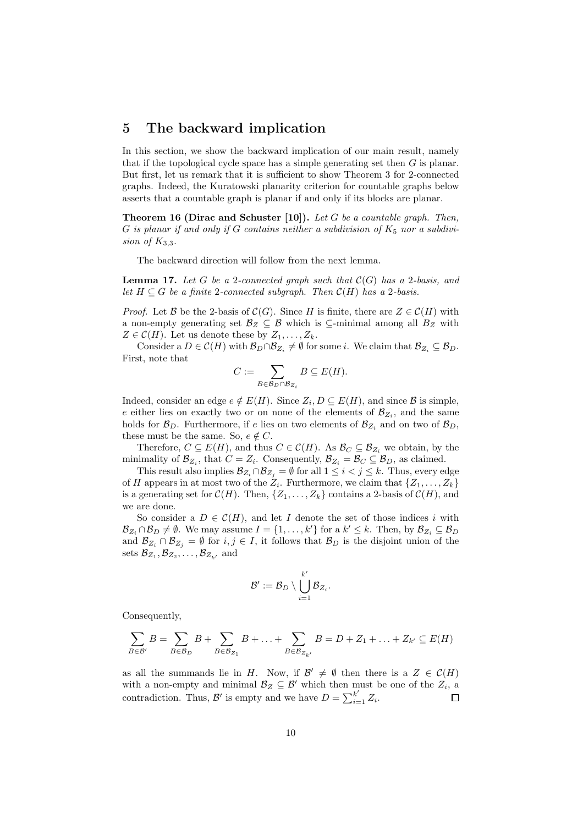# 5 The backward implication

In this section, we show the backward implication of our main result, namely that if the topological cycle space has a simple generating set then  $G$  is planar. But first, let us remark that it is sufficient to show Theorem 3 for 2-connected graphs. Indeed, the Kuratowski planarity criterion for countable graphs below asserts that a countable graph is planar if and only if its blocks are planar.

**Theorem 16 (Dirac and Schuster [10]).** Let G be a countable graph. Then, G is planar if and only if G contains neither a subdivision of  $K_5$  nor a subdivision of  $K_{3,3}$ .

The backward direction will follow from the next lemma.

**Lemma 17.** Let G be a 2-connected graph such that  $\mathcal{C}(G)$  has a 2-basis, and let  $H \subseteq G$  be a finite 2-connected subgraph. Then  $\mathcal{C}(H)$  has a 2-basis.

*Proof.* Let B be the 2-basis of  $\mathcal{C}(G)$ . Since H is finite, there are  $Z \in \mathcal{C}(H)$  with a non-empty generating set  $\mathcal{B}_Z \subseteq \mathcal{B}$  which is ⊆-minimal among all  $B_Z$  with  $Z \in \mathcal{C}(H)$ . Let us denote these by  $Z_1, \ldots, Z_k$ .

Consider a  $D \in \mathcal{C}(H)$  with  $\mathcal{B}_D \cap \mathcal{B}_{Z_i} \neq \emptyset$  for some *i*. We claim that  $\mathcal{B}_{Z_i} \subseteq \mathcal{B}_D$ . First, note that

$$
C := \sum_{B \in \mathcal{B}_D \cap \mathcal{B}_{Z_i}} B \subseteq E(H).
$$

Indeed, consider an edge  $e \notin E(H)$ . Since  $Z_i, D \subseteq E(H)$ , and since  $\mathcal B$  is simple, e either lies on exactly two or on none of the elements of  $\mathcal{B}_{Z_i}$ , and the same holds for  $\mathcal{B}_D$ . Furthermore, if e lies on two elements of  $\mathcal{B}_{Z_i}$  and on two of  $\mathcal{B}_D$ , these must be the same. So,  $e \notin C$ .

Therefore,  $C \subseteq E(H)$ , and thus  $C \in \mathcal{C}(H)$ . As  $\mathcal{B}_C \subseteq \mathcal{B}_{Z_i}$  we obtain, by the minimality of  $\mathcal{B}_{Z_i}$ , that  $C = Z_i$ . Consequently,  $\mathcal{B}_{Z_i} = \mathcal{B}_C \subseteq \mathcal{B}_D$ , as claimed.

This result also implies  $\mathcal{B}_{Z_i} \cap \mathcal{B}_{Z_j} = \emptyset$  for all  $1 \leq i < j \leq k$ . Thus, every edge of H appears in at most two of the  $Z_i$ . Furthermore, we claim that  $\{Z_1, \ldots, Z_k\}$ is a generating set for  $\mathcal{C}(H)$ . Then,  $\{Z_1, \ldots, Z_k\}$  contains a 2-basis of  $\mathcal{C}(H)$ , and we are done.

So consider a  $D \in \mathcal{C}(H)$ , and let I denote the set of those indices i with  $\mathcal{B}_{Z_i} \cap \mathcal{B}_D \neq \emptyset$ . We may assume  $I = \{1, \ldots, k'\}$  for a  $k' \leq k$ . Then, by  $\mathcal{B}_{Z_i} \subseteq \mathcal{B}_D$ and  $\mathcal{B}_{Z_i} \cap \mathcal{B}_{Z_j} = \emptyset$  for  $i, j \in I$ , it follows that  $\mathcal{B}_D$  is the disjoint union of the sets  $\mathcal{B}_{Z_1}, \mathcal{B}_{Z_2}, \ldots, \mathcal{B}_{Z_{k'}}$  and

$$
\mathcal{B}':=\mathcal{B}_D\setminus\bigcup_{i=1}^{k'}\mathcal{B}_{Z_i}.
$$

Consequently,

$$
\sum_{B \in \mathcal{B}'} B = \sum_{B \in \mathcal{B}_D} B + \sum_{B \in \mathcal{B}_{Z_1}} B + \ldots + \sum_{B \in \mathcal{B}_{Z_{k'}}} B = D + Z_1 + \ldots + Z_{k'} \subseteq E(H)
$$

as all the summands lie in H. Now, if  $\mathcal{B}' \neq \emptyset$  then there is a  $Z \in \mathcal{C}(H)$ with a non-empty and minimal  $\mathcal{B}_Z \subseteq \mathcal{B}'$  which then must be one of the  $Z_i$ , a contradiction. Thus, B' is empty and we have  $D = \sum_{i=1}^{k'} Z_i$ .  $\Box$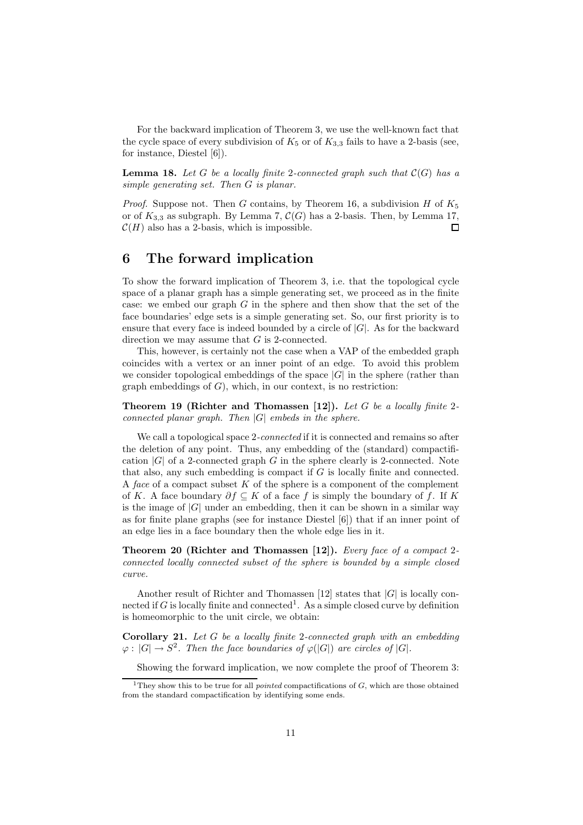For the backward implication of Theorem 3, we use the well-known fact that the cycle space of every subdivision of  $K_5$  or of  $K_{3,3}$  fails to have a 2-basis (see, for instance, Diestel [6]).

**Lemma 18.** Let G be a locally finite 2-connected graph such that  $\mathcal{C}(G)$  has a simple generating set. Then G is planar.

*Proof.* Suppose not. Then G contains, by Theorem 16, a subdivision H of  $K_5$ or of  $K_{3,3}$  as subgraph. By Lemma 7,  $\mathcal{C}(G)$  has a 2-basis. Then, by Lemma 17,  $\mathcal{C}(H)$  also has a 2-basis, which is impossible.  $\Box$ 

# 6 The forward implication

To show the forward implication of Theorem 3, i.e. that the topological cycle space of a planar graph has a simple generating set, we proceed as in the finite case: we embed our graph  $G$  in the sphere and then show that the set of the face boundaries' edge sets is a simple generating set. So, our first priority is to ensure that every face is indeed bounded by a circle of  $|G|$ . As for the backward direction we may assume that G is 2-connected.

This, however, is certainly not the case when a VAP of the embedded graph coincides with a vertex or an inner point of an edge. To avoid this problem we consider topological embeddings of the space  $|G|$  in the sphere (rather than graph embeddings of  $G$ ), which, in our context, is no restriction:

Theorem 19 (Richter and Thomassen [12]). Let G be a locally finite 2connected planar graph. Then  $|G|$  embeds in the sphere.

We call a topological space 2-connected if it is connected and remains so after the deletion of any point. Thus, any embedding of the (standard) compactification  $|G|$  of a 2-connected graph G in the sphere clearly is 2-connected. Note that also, any such embedding is compact if G is locally finite and connected. A face of a compact subset  $K$  of the sphere is a component of the complement of K. A face boundary  $\partial f \subseteq K$  of a face f is simply the boundary of f. If K is the image of  $|G|$  under an embedding, then it can be shown in a similar way as for finite plane graphs (see for instance Diestel [6]) that if an inner point of an edge lies in a face boundary then the whole edge lies in it.

Theorem 20 (Richter and Thomassen [12]). Every face of a compact 2connected locally connected subset of the sphere is bounded by a simple closed curve.

Another result of Richter and Thomassen [12] states that  $|G|$  is locally connected if G is locally finite and connected<sup>1</sup>. As a simple closed curve by definition is homeomorphic to the unit circle, we obtain:

**Corollary 21.** Let  $G$  be a locally finite 2-connected graph with an embedding  $\varphi: |G| \to S^2$ . Then the face boundaries of  $\varphi(|G|)$  are circles of  $|G|$ .

Showing the forward implication, we now complete the proof of Theorem 3:

<sup>&</sup>lt;sup>1</sup>They show this to be true for all *pointed* compactifications of  $G$ , which are those obtained from the standard compactification by identifying some ends.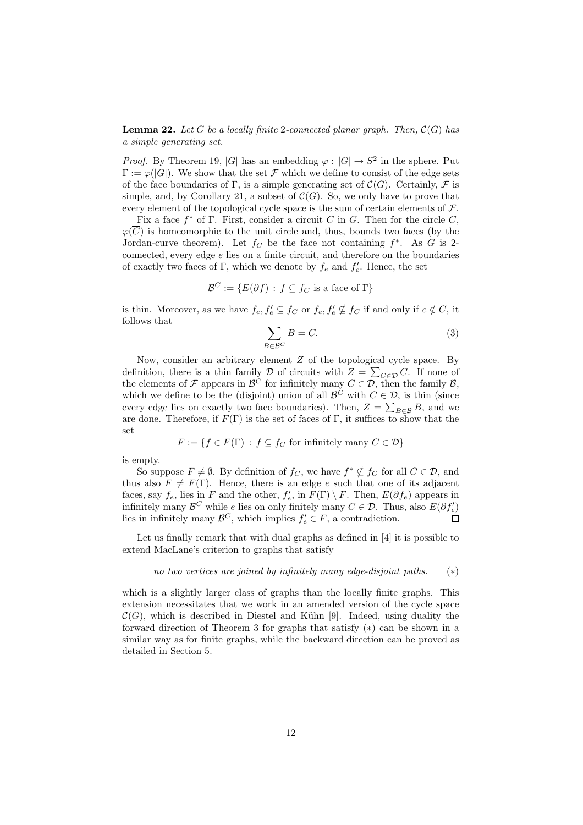**Lemma 22.** Let G be a locally finite 2-connected planar graph. Then,  $C(G)$  has a simple generating set.

*Proof.* By Theorem 19, |G| has an embedding  $\varphi : |G| \to S^2$  in the sphere. Put  $\Gamma := \varphi(|G|)$ . We show that the set F which we define to consist of the edge sets of the face boundaries of Γ, is a simple generating set of  $\mathcal{C}(G)$ . Certainly, F is simple, and, by Corollary 21, a subset of  $\mathcal{C}(G)$ . So, we only have to prove that every element of the topological cycle space is the sum of certain elements of  $\mathcal F$ .

Fix a face  $f^*$  of  $\Gamma$ . First, consider a circuit C in G. Then for the circle  $\overline{C}$ ,  $\varphi(\overline{C})$  is homeomorphic to the unit circle and, thus, bounds two faces (by the Jordan-curve theorem). Let  $f_C$  be the face not containing  $f^*$ . As G is 2connected, every edge  $e$  lies on a finite circuit, and therefore on the boundaries of exactly two faces of  $\Gamma$ , which we denote by  $f_e$  and  $f'_e$ . Hence, the set

$$
\mathcal{B}^C := \{ E(\partial f) : f \subseteq f_C \text{ is a face of } \Gamma \}
$$

is thin. Moreover, as we have  $f_e, f'_e \subseteq f_C$  or  $f_e, f'_e \nsubseteq f_C$  if and only if  $e \notin C$ , it follows that

$$
\sum_{B \in \mathcal{B}^C} B = C. \tag{3}
$$

Now, consider an arbitrary element  $Z$  of the topological cycle space. By definition, there is a thin family  $\mathcal D$  of circuits with  $Z = \sum_{C \in \mathcal D} C$ . If none of the elements of  $\mathcal F$  appears in  $\mathcal B^C$  for infinitely many  $C \in \mathcal D$ , then the family  $\mathcal B$ , which we define to be the (disjoint) union of all  $\mathcal{B}^C$  with  $C \in \mathcal{D}$ , is thin (since every edge lies on exactly two face boundaries). Then,  $Z = \sum_{B \in \mathcal{B}} B$ , and we are done. Therefore, if  $F(\Gamma)$  is the set of faces of  $\Gamma$ , it suffices to show that the set

$$
F := \{ f \in F(\Gamma) : f \subseteq f_C \text{ for infinitely many } C \in \mathcal{D} \}
$$

is empty.

So suppose  $F \neq \emptyset$ . By definition of  $f_C$ , we have  $f^* \nsubseteq f_C$  for all  $C \in \mathcal{D}$ , and thus also  $F \neq F(\Gamma)$ . Hence, there is an edge e such that one of its adjacent faces, say  $f_e$ , lies in F and the other,  $f'_e$ , in  $F(\Gamma) \setminus F$ . Then,  $E(\partial f_e)$  appears in infinitely many  $\mathcal{B}^C$  while e lies on only finitely many  $C \in \mathcal{D}$ . Thus, also  $E(\partial f'_e)$ lies in infinitely many  $\mathcal{B}^C$ , which implies  $f'_e \in F$ , a contradiction.  $\Box$ 

Let us finally remark that with dual graphs as defined in [4] it is possible to extend MacLane's criterion to graphs that satisfy

no two vertices are joined by infinitely many edge-disjoint paths. 
$$
(*)
$$

which is a slightly larger class of graphs than the locally finite graphs. This extension necessitates that we work in an amended version of the cycle space  $\mathcal{C}(G)$ , which is described in Diestel and Kühn [9]. Indeed, using duality the forward direction of Theorem 3 for graphs that satisfy (∗) can be shown in a similar way as for finite graphs, while the backward direction can be proved as detailed in Section 5.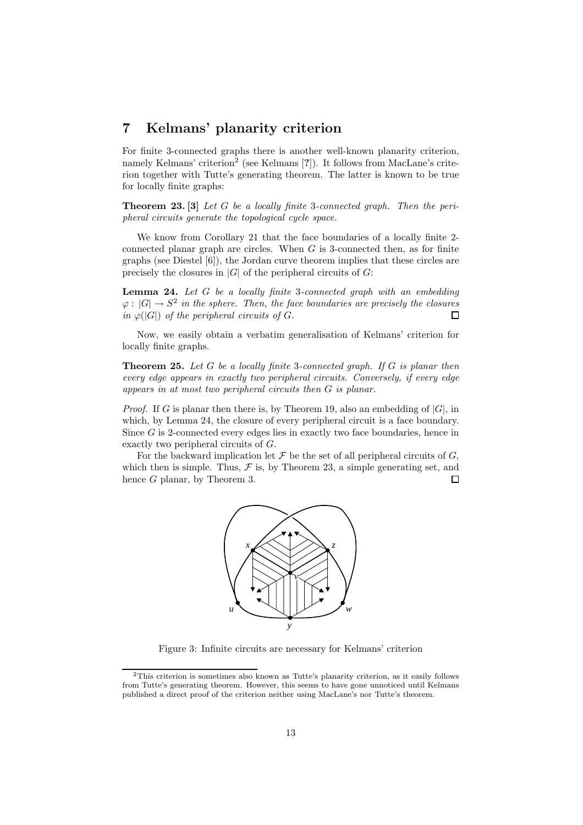# 7 Kelmans' planarity criterion

For finite 3-connected graphs there is another well-known planarity criterion, namely Kelmans' criterion<sup>2</sup> (see Kelmans [?]). It follows from MacLane's criterion together with Tutte's generating theorem. The latter is known to be true for locally finite graphs:

**Theorem 23.** [3] Let  $G$  be a locally finite 3-connected graph. Then the peripheral circuits generate the topological cycle space.

We know from Corollary 21 that the face boundaries of a locally finite 2 connected planar graph are circles. When  $G$  is 3-connected then, as for finite graphs (see Diestel  $[6]$ ), the Jordan curve theorem implies that these circles are precisely the closures in  $|G|$  of the peripheral circuits of  $G$ :

Lemma 24. Let G be a locally finite 3-connected graph with an embedding  $\varphi : |G| \to S^2$  in the sphere. Then, the face boundaries are precisely the closures in  $\varphi(|G|)$  of the peripheral circuits of G.  $\Box$ 

Now, we easily obtain a verbatim generalisation of Kelmans' criterion for locally finite graphs.

**Theorem 25.** Let G be a locally finite 3-connected graph. If G is planar then every edge appears in exactly two peripheral circuits. Conversely, if every edge appears in at most two peripheral circuits then G is planar.

*Proof.* If G is planar then there is, by Theorem 19, also an embedding of  $|G|$ , in which, by Lemma 24, the closure of every peripheral circuit is a face boundary. Since  $G$  is 2-connected every edges lies in exactly two face boundaries, hence in exactly two peripheral circuits of G.

For the backward implication let  $\mathcal F$  be the set of all peripheral circuits of  $G$ , which then is simple. Thus,  $\mathcal F$  is, by Theorem 23, a simple generating set, and hence G planar, by Theorem 3.  $\Box$ 



Figure 3: Infinite circuits are necessary for Kelmans' criterion

<sup>2</sup>This criterion is sometimes also known as Tutte's planarity criterion, as it easily follows from Tutte's generating theorem. However, this seems to have gone unnoticed until Kelmans published a direct proof of the criterion neither using MacLane's nor Tutte's theorem.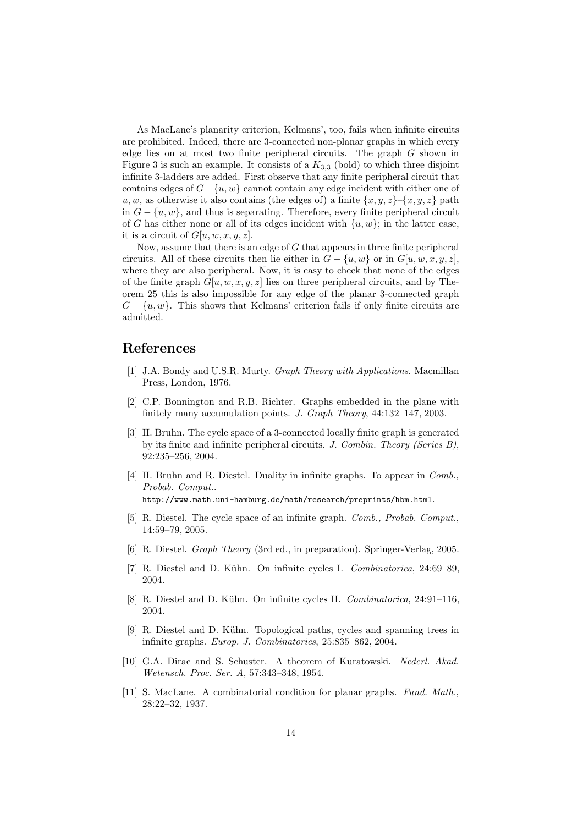As MacLane's planarity criterion, Kelmans', too, fails when infinite circuits are prohibited. Indeed, there are 3-connected non-planar graphs in which every edge lies on at most two finite peripheral circuits. The graph G shown in Figure 3 is such an example. It consists of a  $K_{3,3}$  (bold) to which three disjoint infinite 3-ladders are added. First observe that any finite peripheral circuit that contains edges of  $G - \{u, w\}$  cannot contain any edge incident with either one of u, w, as otherwise it also contains (the edges of) a finite  $\{x, y, z\}$ – $\{x, y, z\}$  path in  $G - \{u, w\}$ , and thus is separating. Therefore, every finite peripheral circuit of G has either none or all of its edges incident with  $\{u, w\}$ ; in the latter case, it is a circuit of  $G[u, w, x, y, z]$ .

Now, assume that there is an edge of  $G$  that appears in three finite peripheral circuits. All of these circuits then lie either in  $G - \{u, w\}$  or in  $G[u, w, x, y, z]$ , where they are also peripheral. Now, it is easy to check that none of the edges of the finite graph  $G[u, w, x, y, z]$  lies on three peripheral circuits, and by Theorem 25 this is also impossible for any edge of the planar 3-connected graph  $G - \{u, w\}$ . This shows that Kelmans' criterion fails if only finite circuits are admitted.

# References

- [1] J.A. Bondy and U.S.R. Murty. Graph Theory with Applications. Macmillan Press, London, 1976.
- [2] C.P. Bonnington and R.B. Richter. Graphs embedded in the plane with finitely many accumulation points. J. Graph Theory, 44:132–147, 2003.
- [3] H. Bruhn. The cycle space of a 3-connected locally finite graph is generated by its finite and infinite peripheral circuits. J. Combin. Theory (Series B), 92:235–256, 2004.
- [4] H. Bruhn and R. Diestel. Duality in infinite graphs. To appear in *Comb.*, Probab. Comput.. http://www.math.uni-hamburg.de/math/research/preprints/hbm.html.
- [5] R. Diestel. The cycle space of an infinite graph. Comb., Probab. Comput., 14:59–79, 2005.
- [6] R. Diestel. Graph Theory (3rd ed., in preparation). Springer-Verlag, 2005.
- [7] R. Diestel and D. Kühn. On infinite cycles I. Combinatorica, 24:69–89, 2004.
- [8] R. Diestel and D. Kühn. On infinite cycles II. Combinatorica, 24:91–116, 2004.
- [9] R. Diestel and D. K¨uhn. Topological paths, cycles and spanning trees in infinite graphs. Europ. J. Combinatorics, 25:835–862, 2004.
- [10] G.A. Dirac and S. Schuster. A theorem of Kuratowski. Nederl. Akad. Wetensch. Proc. Ser. A, 57:343–348, 1954.
- [11] S. MacLane. A combinatorial condition for planar graphs. Fund. Math., 28:22–32, 1937.